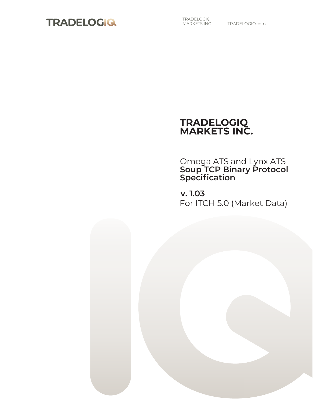

| TRADELOGIQ<br>| MARKETS INC

## **TRADELOGIQ MARKETS INC.**

Omega ATS and Lynx ATS **Soup TCP Binary Protocol Specification**

**v. 1.03** For ITCH 5.0 (Market Data)

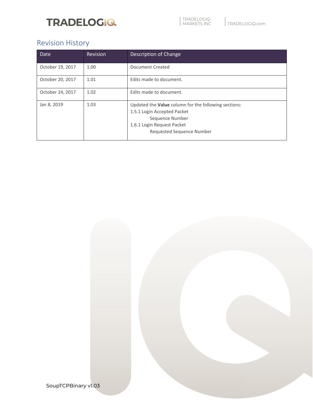## Revision History

| Date             | Revision | Description of Change                                                                                                                                             |  |  |
|------------------|----------|-------------------------------------------------------------------------------------------------------------------------------------------------------------------|--|--|
| October 19, 2017 | 1.00     | Document Created                                                                                                                                                  |  |  |
| October 20, 2017 | 1.01     | Edits made to document.                                                                                                                                           |  |  |
| October 24, 2017 | 1.02     | Edits made to document.                                                                                                                                           |  |  |
| Jan 8, 2019      | 1.03     | Updated the Value column for the following sections:<br>1.5.1 Login Accepted Packet<br>Sequence Number<br>1.6.1 Login Request Packet<br>Requested Sequence Number |  |  |

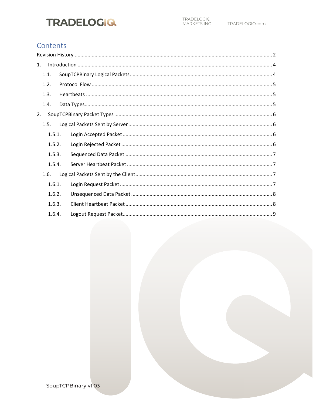### Contents

| 1. |        |  |
|----|--------|--|
|    | 1.1.   |  |
|    | 1.2.   |  |
|    | 1.3.   |  |
|    | 1.4.   |  |
| 2. |        |  |
|    | 1.5.   |  |
|    | 1.5.1. |  |
|    | 1.5.2. |  |
|    | 1.5.3. |  |
|    | 1.5.4. |  |
|    | 1.6.   |  |
|    | 1.6.1. |  |
|    | 1.6.2. |  |
|    | 1.6.3. |  |
|    | 1.6.4. |  |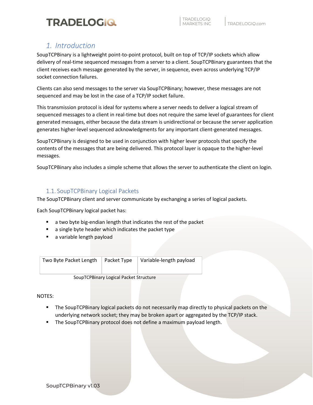### *1. Introduction*

SoupTCPBinary is a lightweight point-to-point protocol, built on top of TCP/IP sockets which allow delivery of real-time sequenced messages from a server to a client. SoupTCPBinary guarantees that the client receives each message generated by the server, in sequence, even across underlying TCP/IP socket connection failures.

Clients can also send messages to the server via SoupTCPBinary; however, these messages are not sequenced and may be lost in the case of a TCP/IP socket failure.

This transmission protocol is ideal for systems where a server needs to deliver a logical stream of sequenced messages to a client in real-time but does not require the same level of guarantees for client generated messages, either because the data stream is unidirectional or because the server application generates higher-level sequenced acknowledgments for any important client-generated messages.

SoupTCPBinary is designed to be used in conjunction with higher lever protocols that specify the contents of the messages that are being delivered. This protocol layer is opaque to the higher-level messages.

SoupTCPBinary also includes a simple scheme that allows the server to authenticate the client on login.

### 1.1. SoupTCPBinary Logical Packets

The SoupTCPBinary client and server communicate by exchanging a series of logical packets.

Each SoupTCPBinary logical packet has:

- a two byte big-endian length that indicates the rest of the packet
- a single byte header which indicates the packet type
- a variable length payload

| Two Byte Packet Length | Packet Type | Variable-length payload |
|------------------------|-------------|-------------------------|
|------------------------|-------------|-------------------------|

SoupTCPBinary Logical Packet Structure

NOTES:

**The SoupTCPBinary logical packets do not necessarily map directly to physical packets on the** underlying network socket; they may be broken apart or aggregated by the TCP/IP stack.

Omega Securities Inc.

The SoupTCPBinary protocol does not define a maximum payload length.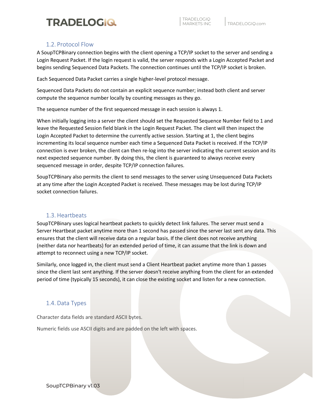### 1.2. Protocol Flow

A SoupTCPBinary connection begins with the client opening a TCP/IP socket to the server and sending a Login Request Packet. If the login request is valid, the server responds with a Login Accepted Packet and begins sending Sequenced Data Packets. The connection continues until the TCP/IP socket is broken.

Each Sequenced Data Packet carries a single higher-level protocol message.

Sequenced Data Packets do not contain an explicit sequence number; instead both client and server compute the sequence number locally by counting messages as they go.

The sequence number of the first sequenced message in each session is always 1.

When initially logging into a server the client should set the Requested Sequence Number field to 1 and leave the Requested Session field blank in the Login Request Packet. The client will then inspect the Login Accepted Packet to determine the currently active session. Starting at 1, the client begins incrementing its local sequence number each time a Sequenced Data Packet is received. If the TCP/IP connection is ever broken, the client can then re-log into the server indicating the current session and its next expected sequence number. By doing this, the client is guaranteed to always receive every sequenced message in order, despite TCP/IP connection failures.

SoupTCPBinary also permits the client to send messages to the server using Unsequenced Data Packets at any time after the Login Accepted Packet is received. These messages may be lost during TCP/IP socket connection failures.

### 1.3. Heartbeats

SoupTCPBinary uses logical heartbeat packets to quickly detect link failures. The server must send a Server Heartbeat packet anytime more than 1 second has passed since the server last sent any data. This ensures that the client will receive data on a regular basis. If the client does not receive anything (neither data nor heartbeats) for an extended period of time, it can assume that the link is down and attempt to reconnect using a new TCP/IP socket.

Similarly, once logged in, the client must send a Client Heartbeat packet anytime more than 1 passes since the client last sent anything. If the server doesn't receive anything from the client for an extended period of time (typically 15 seconds), it can close the existing socket and listen for a new connection.

Omega Securities Inc.

### 1.4. Data Types

Character data fields are standard ASCII bytes.

Numeric fields use ASCII digits and are padded on the left with spaces.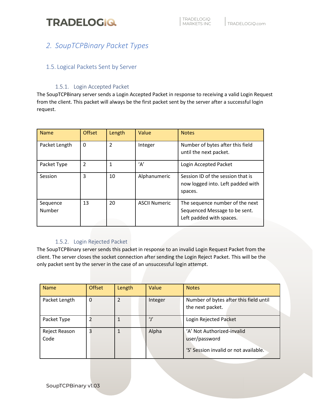### *2. SoupTCPBinary Packet Types*

### 1.5. Logical Packets Sent by Server

### 1.5.1. Login Accepted Packet

The SoupTCPBinary server sends a Login Accepted Packet in response to receiving a valid Login Request from the client. This packet will always be the first packet sent by the server after a successful login request.

| <b>Name</b>        | <b>Offset</b> | Length         | Value                | <b>Notes</b>                                                                                 |
|--------------------|---------------|----------------|----------------------|----------------------------------------------------------------------------------------------|
| Packet Length      | 0             | $\overline{2}$ | Integer              | Number of bytes after this field<br>until the next packet.                                   |
| Packet Type        | $\mathcal{P}$ | 1              | 'Α'                  | Login Accepted Packet                                                                        |
| Session            | 3             | 10             | Alphanumeric         | Session ID of the session that is<br>now logged into. Left padded with<br>spaces.            |
| Sequence<br>Number | 13            | 20             | <b>ASCII Numeric</b> | The sequence number of the next<br>Sequenced Message to be sent.<br>Left padded with spaces. |

### 1.5.2. Login Rejected Packet

The SoupTCPBinary server sends this packet in response to an invalid Login Request Packet from the client. The server closes the socket connection after sending the Login Reject Packet. This will be the only packet sent by the server in the case of an unsuccessful login attempt.

| <b>Name</b>           | <b>Offset</b> | Length | Value       | <b>Notes</b>                                                                         |
|-----------------------|---------------|--------|-------------|--------------------------------------------------------------------------------------|
| Packet Length         | 0             |        | Integer     | Number of bytes after this field until<br>the next packet.                           |
| Packet Type           |               | 1      | $^{\prime}$ | Login Rejected Packet                                                                |
| Reject Reason<br>Code | 3             | 1      | Alpha       | 'A' Not Authorized-invalid<br>user/password<br>'S' Session invalid or not available. |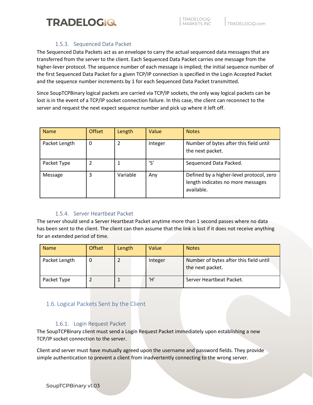

#### 1.5.3. Sequenced Data Packet

The Sequenced Data Packets act as an envelope to carry the actual sequenced data messages that are transferred from the server to the client. Each Sequenced Data Packet carries one message from the higher-lever protocol. The sequence number of each message is implied; the initial sequence number of the first Sequenced Data Packet for a given TCP/IP connection is specified in the Login Accepted Packet and the sequence number increments by 1 for each Sequenced Data Packet transmitted.

Since SoupTCPBinary logical packets are carried via TCP/IP sockets, the only way logical packets can be lost is in the event of a TCP/IP socket connection failure. In this case, the client can reconnect to the server and request the next expect sequence number and pick up where it left off.

| <b>Name</b>   | <b>Offset</b> | Length   | Value   | <b>Notes</b>                                                                                |
|---------------|---------------|----------|---------|---------------------------------------------------------------------------------------------|
| Packet Length | 0             |          | Integer | Number of bytes after this field until<br>the next packet.                                  |
| Packet Type   | າ             |          | 's'     | Sequenced Data Packed.                                                                      |
| Message       | 3             | Variable | Any     | Defined by a higher-level protocol, zero<br>length indicates no more messages<br>available. |

### 1.5.4. Server Heartbeat Packet

The server should send a Server Heartbeat Packet anytime more than 1 second passes where no data has been sent to the client. The client can then assume that the link is lost if it does not receive anything for an extended period of time.

| <b>Name</b>   | <b>Offset</b> | Length | Value   | <b>Notes</b>                                               |
|---------------|---------------|--------|---------|------------------------------------------------------------|
| Packet Length |               |        | Integer | Number of bytes after this field until<br>the next packet. |
| Packet Type   |               |        | Ή,      | Server Heartbeat Packet.                                   |

### 1.6. Logical Packets Sent by the Client

### 1.6.1. Login Request Packet

The SoupTCPBinary client must send a Login Request Packet immediately upon establishing a new TCP/IP socket connection to the server.

Client and server must have mutually agreed upon the username and password fields. They provide simple authentication to prevent a client from inadvertently connecting to the wrong server.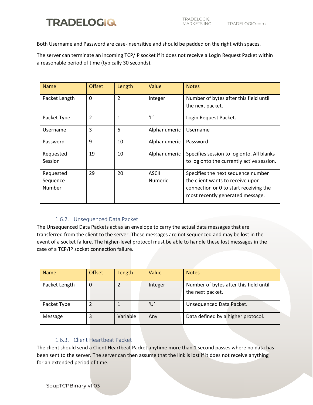

Both Username and Password are case-insensitive and should be padded on the right with spaces.

The server can terminate an incoming TCP/IP socket if it does not receive a Login Request Packet within a reasonable period of time (typically 30 seconds).

| <b>Name</b>   | <b>Offset</b>  | Length         | Value          | <b>Notes</b>                                               |
|---------------|----------------|----------------|----------------|------------------------------------------------------------|
| Packet Length | 0              | $\overline{2}$ | Integer        | Number of bytes after this field until<br>the next packet. |
|               |                |                |                |                                                            |
| Packet Type   | $\overline{2}$ | $\mathbf{1}$   | $^{\prime}$    | Login Request Packet.                                      |
| Username      | 3              | 6              | Alphanumeric   | Username                                                   |
| Password      | 9              | 10             | Alphanumeric   | Password                                                   |
| Requested     | 19             | 10             | Alphanumeric   | Specifies session to log onto. All blanks                  |
| Session       |                |                |                | to log onto the currently active session.                  |
| Requested     | 29             | 20             | <b>ASCII</b>   | Specifies the next sequence number                         |
| Sequence      |                |                | <b>Numeric</b> | the client wants to receive upon                           |
| Number        |                |                |                | connection or 0 to start receiving the                     |
|               |                |                |                | most recently generated message.                           |

### 1.6.2. Unsequenced Data Packet

The Unsequenced Data Packets act as an envelope to carry the actual data messages that are transferred from the client to the server. These messages are not sequenced and may be lost in the event of a socket failure. The higher-level protocol must be able to handle these lost messages in the case of a TCP/IP socket connection failure.

| <b>Name</b>   | <b>Offset</b> | Length         | Value   | <b>Notes</b>                                               |
|---------------|---------------|----------------|---------|------------------------------------------------------------|
| Packet Length |               | $\overline{2}$ | Integer | Number of bytes after this field until<br>the next packet. |
| Packet Type   |               |                | 'U'     | Unsequenced Data Packet.                                   |
| Message       |               | Variable       | Any     | Data defined by a higher protocol.                         |

### 1.6.3. Client Heartbeat Packet

The client should send a Client Heartbeat Packet anytime more than 1 second passes where no data has been sent to the server. The server can then assume that the link is lost if it does not receive anything for an extended period of time.